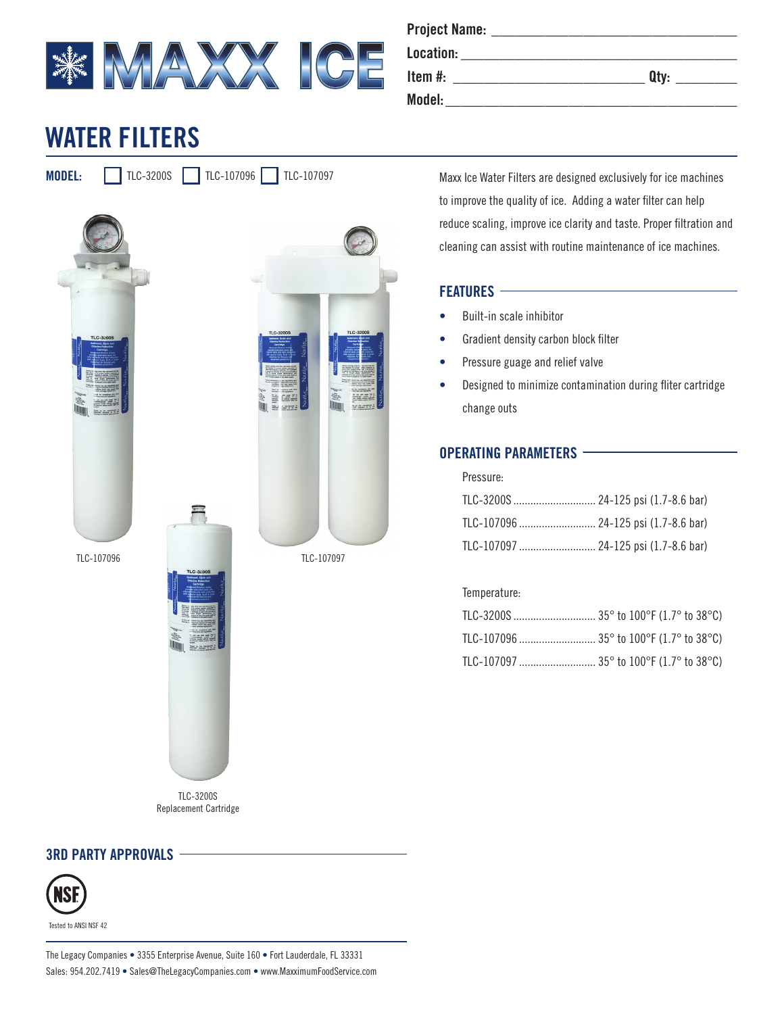

| <b>Project Name:</b> |      |
|----------------------|------|
| Location:            |      |
| Item $#$ :           | Qtv: |
| Model:               |      |

# **WATER FILTERS**

**MODEL:** TLC-3200S TLC-107096 TLC-107097





Maxx Ice Water Filters are designed exclusively for ice machines to improve the quality of ice. Adding a water filter can help reduce scaling, improve ice clarity and taste. Proper filtration and cleaning can assist with routine maintenance of ice machines.

#### **FEATURES**

- Built-in scale inhibitor
- Gradient density carbon block filter
- Pressure guage and relief valve
- Designed to minimize contamination during fliter cartridge change outs

### **OPERATING PARAMETERS**

| r i cəsul c:                         |  |
|--------------------------------------|--|
| TLC-3200S  24-125 psi (1.7-8.6 bar)  |  |
| TLC-107096  24-125 psi (1.7-8.6 bar) |  |
| TLC-107097  24-125 psi (1.7-8.6 bar) |  |

Temperature:

Pressure:



军

## **3RD PARTY APPROVALS**



Tested to ANSI NSF 42